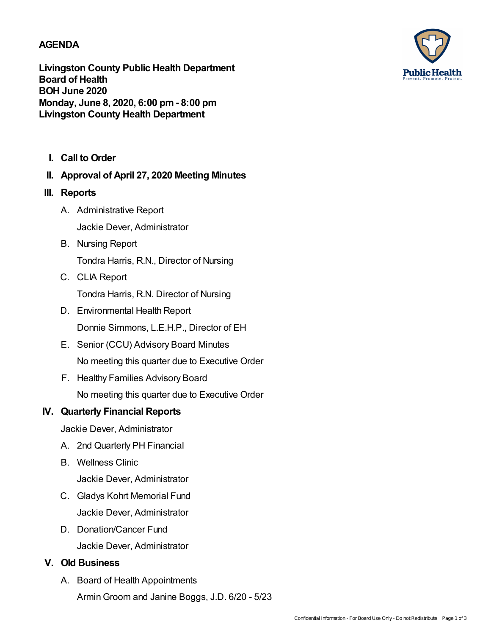### **AGENDA**

**Livingston County Public Health Department Board of Health BOH June 2020 Monday, June 8, 2020, 6:00 pm- 8:00 pm Livingston County Health Department**

- **I. Call to Order**
- **II. Approval of April 27, 2020 Meeting Minutes**
- **III. Reports**
	- A. Administrative Report Jackie Dever, Administrator
	- B. Nursing Report

Tondra Harris, R.N., Director of Nursing

C. CLIA Report

Tondra Harris, R.N. Director of Nursing

- D. Environmental Health Report Donnie Simmons, L.E.H.P., Director of EH
- E. Senior (CCU) Advisory Board Minutes No meeting this quarter due to Executive Order
- F. Healthy Families Advisory Board No meeting this quarter due to Executive Order

## **IV. Quarterly Financial Reports**

Jackie Dever, Administrator

- A. 2nd Quarterly PH Financial
- B. Wellness Clinic

Jackie Dever, Administrator

- C. Gladys Kohrt Memorial Fund Jackie Dever, Administrator
- D. Donation/Cancer Fund Jackie Dever, Administrator

## **V. Old Business**

A. Board of Health Appointments ArminGroom and Janine Boggs, J.D. 6/20 - 5/23

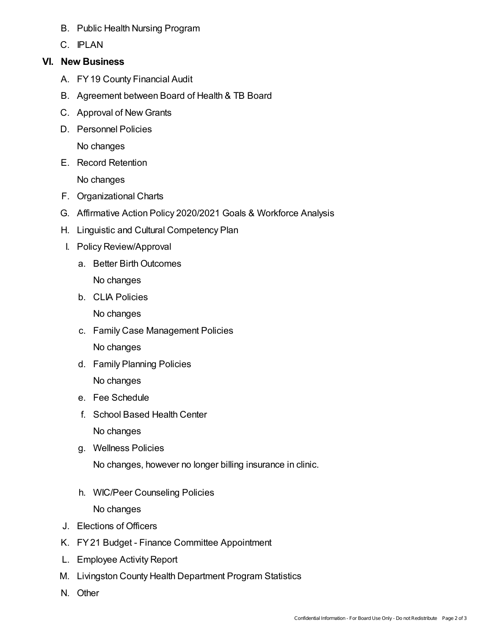- B. Public Health Nursing Program
- C. IPLAN

## **VI. New Business**

- A. FY19 County Financial Audit
- B. Agreement between Board of Health & TB Board
- C. Approval of New Grants
- D. Personnel Policies

No changes

E. Record Retention

No changes

- F. Organizational Charts
- G. Affirmative Action Policy 2020/2021 Goals & Workforce Analysis
- H. Linguistic and Cultural Competency Plan
- I. Policy Review/Approval
	- a. Better Birth Outcomes No changes
	- b. CLIA Policies

No changes

- c. Family Case Management Policies No changes
- d. Family Planning Policies

No changes

- e. Fee Schedule
- f. School Based Health Center

No changes

g. Wellness Policies

No changes, however no longer billing insurance in clinic.

h. WIC/Peer Counseling Policies

No changes

- J. Elections of Officers
- K. FY21 Budget Finance Committee Appointment
- L. Employee Activity Report
- M. Livingston County Health Department Program Statistics
- N. Other